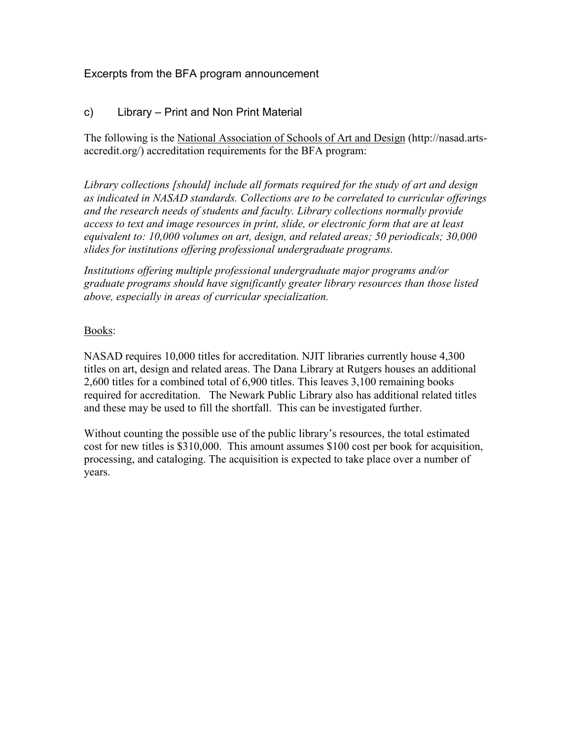# Excerpts from the BFA program announcement

## c) Library – Print and Non Print Material

The following is the National Association of Schools of Art and Design (http://nasad.artsaccredit.org/) accreditation requirements for the BFA program:

*Library collections [should] include all formats required for the study of art and design as indicated in NASAD standards. Collections are to be correlated to curricular offerings and the research needs of students and faculty. Library collections normally provide access to text and image resources in print, slide, or electronic form that are at least equivalent to: 10,000 volumes on art, design, and related areas; 50 periodicals; 30,000 slides for institutions offering professional undergraduate programs.* 

*Institutions offering multiple professional undergraduate major programs and/or graduate programs should have significantly greater library resources than those listed above, especially in areas of curricular specialization.* 

### Books:

NASAD requires 10,000 titles for accreditation. NJIT libraries currently house 4,300 titles on art, design and related areas. The Dana Library at Rutgers houses an additional 2,600 titles for a combined total of 6,900 titles. This leaves 3,100 remaining books required for accreditation. The Newark Public Library also has additional related titles and these may be used to fill the shortfall. This can be investigated further.

Without counting the possible use of the public library's resources, the total estimated cost for new titles is \$310,000. This amount assumes \$100 cost per book for acquisition, processing, and cataloging. The acquisition is expected to take place over a number of years.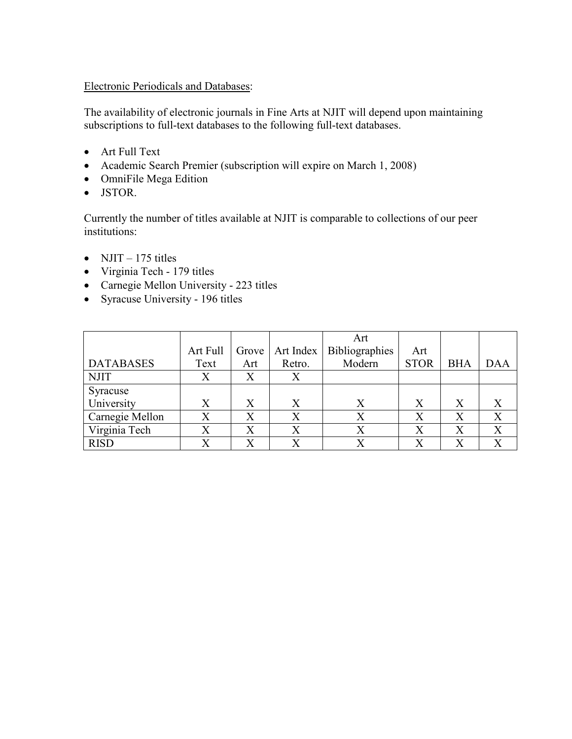Electronic Periodicals and Databases:

The availability of electronic journals in Fine Arts at NJIT will depend upon maintaining subscriptions to full-text databases to the following full-text databases.

- Art Full Text
- Academic Search Premier (subscription will expire on March 1, 2008)
- OmniFile Mega Edition
- JSTOR.

Currently the number of titles available at NJIT is comparable to collections of our peer institutions:

- NJIT 175 titles
- Virginia Tech 179 titles
- Carnegie Mellon University 223 titles
- Syracuse University 196 titles

|                  |          |                   |                   | Art                   |                   |            |            |
|------------------|----------|-------------------|-------------------|-----------------------|-------------------|------------|------------|
|                  | Art Full | Grove             | Art Index         | <b>Bibliographies</b> | Art               |            |            |
| <b>DATABASES</b> | Text     | Art               | Retro.            | Modern                | <b>STOR</b>       | <b>BHA</b> | <b>DAA</b> |
| <b>NJIT</b>      | Х        | Χ                 | Χ                 |                       |                   |            |            |
| Syracuse         |          |                   |                   |                       |                   |            |            |
| University       | X        | X                 | X                 | X                     | X                 | X          |            |
| Carnegie Mellon  | Х        | $\rm\overline{X}$ | $\rm\overline{X}$ | X                     | $\rm\overline{X}$ | X          | X          |
| Virginia Tech    |          | $\rm\overline{X}$ | $\rm\overline{X}$ |                       | $\rm X$           |            | X          |
| <b>RISD</b>      |          | Х                 | X                 |                       |                   |            |            |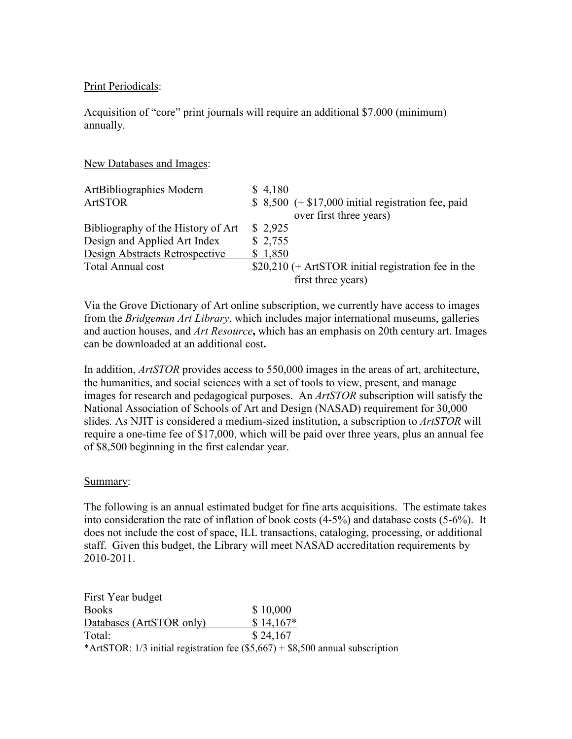### Print Periodicals:

Acquisition of "core" print journals will require an additional \$7,000 (minimum) annually.

#### New Databases and Images:

| ArtBibliographies Modern           | \$4,180                                              |
|------------------------------------|------------------------------------------------------|
| <b>ArtSTOR</b>                     | $$8,500 (+ $17,000)$ initial registration fee, paid  |
|                                    | over first three years)                              |
| Bibliography of the History of Art | \$2,925                                              |
| Design and Applied Art Index       | \$2,755                                              |
| Design Abstracts Retrospective     | \$1,850                                              |
| Total Annual cost                  | $$20,210$ (+ ArtSTOR initial registration fee in the |
|                                    | first three years)                                   |

Via the Grove Dictionary of Art online subscription, we currently have access to images from the *Bridgeman Art Library*, which includes major international museums, galleries and auction houses, and *Art Resource*, which has an emphasis on 20th century art. Images can be downloaded at an additional cost.

In addition, *ArtSTOR* provides access to 550,000 images in the areas of art, architecture, the humanities, and social sciences with a set of tools to view, present, and manage images for research and pedagogical purposes. An *ArtSTOR* subscription will satisfy the National Association of Schools of Art and Design (NASAD) requirement for 30,000 slides*.* As NJIT is considered a medium-sized institution, a subscription to *ArtSTOR* will require a one-time fee of \$17,000, which will be paid over three years, plus an annual fee of \$8,500 beginning in the first calendar year.

#### Summary:

The following is an annual estimated budget for fine arts acquisitions. The estimate takes into consideration the rate of inflation of book costs (4-5%) and database costs (5-6%). It does not include the cost of space, ILL transactions, cataloging, processing, or additional staff. Given this budget, the Library will meet NASAD accreditation requirements by 2010-2011.

| First Year budget        |                                                                                  |
|--------------------------|----------------------------------------------------------------------------------|
| <b>Books</b>             | \$10,000                                                                         |
| Databases (ArtSTOR only) | $$14,167*$                                                                       |
| Total:                   | \$24,167                                                                         |
|                          | *ArtSTOR: 1/3 initial registration fee $(\$5,667) + \$8,500$ annual subscription |